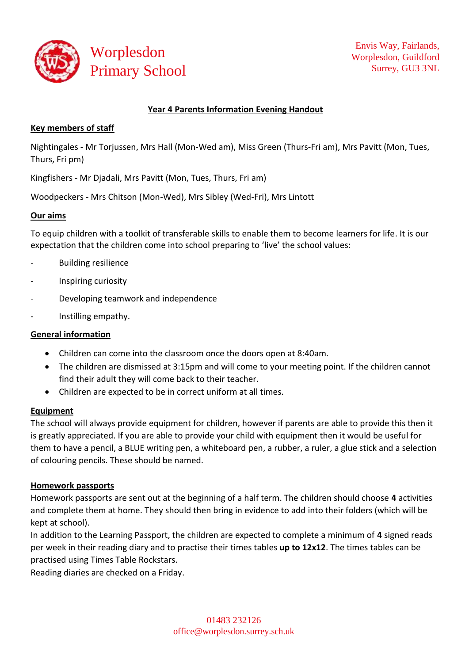

## **Year 4 Parents Information Evening Handout**

### **Key members of staff**

Nightingales - Mr Torjussen, Mrs Hall (Mon-Wed am), Miss Green (Thurs-Fri am), Mrs Pavitt (Mon, Tues, Thurs, Fri pm)

Kingfishers - Mr Djadali, Mrs Pavitt (Mon, Tues, Thurs, Fri am)

Woodpeckers - Mrs Chitson (Mon-Wed), Mrs Sibley (Wed-Fri), Mrs Lintott

### **Our aims**

To equip children with a toolkit of transferable skills to enable them to become learners for life. It is our expectation that the children come into school preparing to 'live' the school values:

- Building resilience
- Inspiring curiosity
- Developing teamwork and independence
- Instilling empathy.

### **General information**

- Children can come into the classroom once the doors open at 8:40am.
- The children are dismissed at 3:15pm and will come to your meeting point. If the children cannot find their adult they will come back to their teacher.
- Children are expected to be in correct uniform at all times.

### **Equipment**

The school will always provide equipment for children, however if parents are able to provide this then it is greatly appreciated. If you are able to provide your child with equipment then it would be useful for them to have a pencil, a BLUE writing pen, a whiteboard pen, a rubber, a ruler, a glue stick and a selection of colouring pencils. These should be named.

### **Homework passports**

Homework passports are sent out at the beginning of a half term. The children should choose **4** activities and complete them at home. They should then bring in evidence to add into their folders (which will be kept at school).

In addition to the Learning Passport, the children are expected to complete a minimum of **4** signed reads per week in their reading diary and to practise their times tables **up to 12x12**. The times tables can be practised using Times Table Rockstars.

Reading diaries are checked on a Friday.